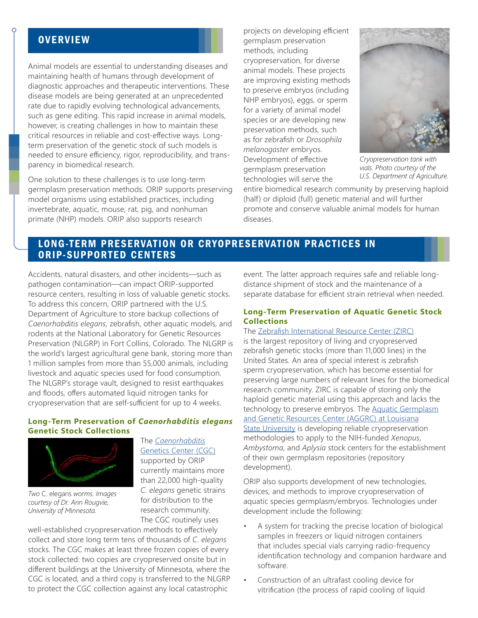# **OVERVIEW**

Animal models are essential to understanding diseases and maintaining health of humans through development of diagnostic approaches and therapeutic interventions. These disease models are being generated at an unprecedented rate due to rapidly evolving technological advancements, such as gene editing. This rapid increase in animal models, however, is creating challenges in how to maintain these critical resources in reliable and cost-effective ways. Longterm preservation of the genetic stock of such models is needed to ensure efficiency, rigor, reproducibility, and transparency in biomedical research.

One solution to these challenges is to use long-term germplasm preservation methods. ORIP supports preserving model organisms using established practices, including invertebrate, aquatic, mouse, rat, pig, and nonhuman primate (NHP) models. ORIP also supports research

projects on developing efficient germplasm preservation methods, including cryopreservation, for diverse animal models. These projects are improving existing methods to preserve embryos (including NHP embryos), eggs, or sperm for a variety of animal model species or are developing new preservation methods, such as for zebrafish or *Drosophila melanogaster* embryos. Development of effective germplasm preservation technologies will serve the



*Cryopreservation tank with vials. Photo courtesy of the U.S. Department of Agriculture.*

entire biomedical research community by preserving haploid (half) or diploid (full) genetic material and will further promote and conserve valuable animal models for human diseases.

## LONG-TERM PRESERVATION OR CRYOPRESERVATION PRACTICES IN ORIP-SUPPORTED CENTERS

Accidents, natural disasters, and other incidents—such as pathogen contamination—can impact ORIP-supported resource centers, resulting in loss of valuable genetic stocks. To address this concern, ORIP partnered with the U.S. Department of Agriculture to store backup collections of *Caenorhabditis elegans*, zebrafish, other aquatic models, and rodents at the National Laboratory for Genetic Resources Preservation (NLGRP) in Fort Collins, Colorado. The NLGRP is the world's largest agricultural gene bank, storing more than 1 million samples from more than 55,000 animals, including livestock and aquatic species used for food consumption. The NLGRP's storage vault, designed to resist earthquakes and floods, offers automated liquid nitrogen tanks for cryopreservation that are self-sufficient for up to 4 weeks.

#### **Long-Term Preservation of** *Caenorhabditis elegans* **Genetic Stock Collections**



*Two* C. elegans *worms. Images courtesy of Dr. Ann Rougvie, University of Minnesota.*

The *[Caenorhabditis](https://cgc.umn.edu/)* [Genetics Center \(CGC\)](https://cgc.umn.edu/) supported by ORIP currently maintains more than 22,000 high-quality *C. elegans* genetic strains for distribution to the research community. The CGC routinely uses

well-established cryopreservation methods to effectively collect and store long term tens of thousands of *C. elegans* stocks. The CGC makes at least three frozen copies of every stock collected: two copies are cryopreserved onsite but in different buildings at the University of Minnesota, where the CGC is located, and a third copy is transferred to the NLGRP to protect the CGC collection against any local catastrophic

event. The latter approach requires safe and reliable longdistance shipment of stock and the maintenance of a separate database for efficient strain retrieval when needed.

#### **Long-Term Preservation of Aquatic Genetic Stock Collections**

The [Zebrafish International Resource Center \(ZIRC\)](https://zebrafish.org/home/guide.php) is the largest repository of living and cryopreserved zebrafish genetic stocks (more than 11,000 lines) in the United States. An area of special interest is zebrafish sperm cryopreservation, which has become essential for preserving large numbers of relevant lines for the biomedical research community. ZIRC is capable of storing only the haploid genetic material using this approach and lacks the technology to preserve embryos. The [Aquatic Germplasm](https://www.aquaticgermplasm.com/) [and Genetic Resources Center \(AGGRC\) at Louisiana](https://www.aquaticgermplasm.com/) [State University](https://www.aquaticgermplasm.com/) is developing reliable cryopreservation methodologies to apply to the NIH-funded *Xenopus*, *Ambystoma*, and *Aplysia* stock centers for the establishment of their own germplasm repositories (repository development).

ORIP also supports development of new technologies, devices, and methods to improve cryopreservation of aquatic species germplasm/embryos. Technologies under development include the following:

- A system for tracking the precise location of biological samples in freezers or liquid nitrogen containers that includes special vials carrying radio-frequency identification technology and companion hardware and software.
- Construction of an ultrafast cooling device for vitrification (the process of rapid cooling of liquid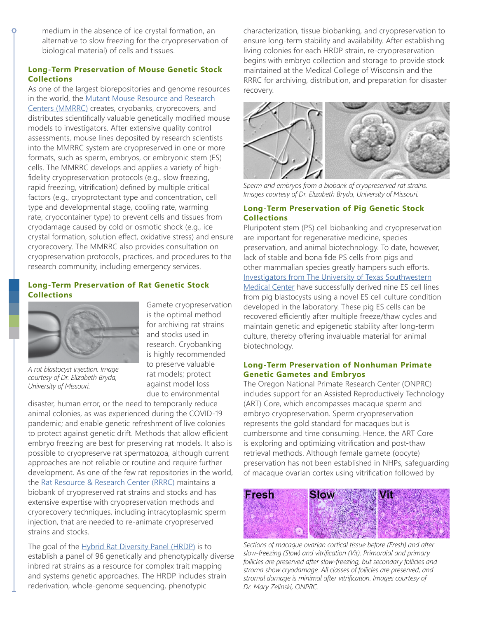medium in the absence of ice crystal formation, an alternative to slow freezing for the cryopreservation of biological material) of cells and tissues.

### **Long-Term Preservation of Mouse Genetic Stock Collections**

As one of the largest biorepositories and genome resources in the world, the [Mutant Mouse Resource and Research](https://www.mmrrc.org/about/members.php) [Centers \(MMRRC\)](https://www.mmrrc.org/about/members.php) creates, cryobanks, cryorecovers, and distributes scientifically valuable genetically modified mouse models to investigators. After extensive quality control assessments, mouse lines deposited by research scientists into the MMRRC system are cryopreserved in one or more formats, such as sperm, embryos, or embryonic stem (ES) cells. The MMRRC develops and applies a variety of highfidelity cryopreservation protocols (e.g., slow freezing, rapid freezing, vitrification) defined by multiple critical factors (e.g., cryoprotectant type and concentration, cell type and developmental stage, cooling rate, warming rate, cryocontainer type) to prevent cells and tissues from cryodamage caused by cold or osmotic shock (e.g., ice crystal formation, solution effect, oxidative stress) and ensure cryorecovery. The MMRRC also provides consultation on cryopreservation protocols, practices, and procedures to the research community, including emergency services.

#### **Long-Term Preservation of Rat Genetic Stock Collections**



*A rat blastocyst injection. Image courtesy of Dr. Elizabeth Bryda, University of Missouri.*

Gamete cryopreservation is the optimal method for archiving rat strains and stocks used in research. Cryobanking is highly recommended to preserve valuable rat models; protect against model loss due to environmental

disaster, human error, or the need to temporarily reduce animal colonies, as was experienced during the COVID-19 pandemic; and enable genetic refreshment of live colonies to protect against genetic drift. Methods that allow efficient embryo freezing are best for preserving rat models. It also is possible to cryopreserve rat spermatozoa, although current approaches are not reliable or routine and require further development. As one of the few rat repositories in the world, the [Rat Resource & Research Center \(RRRC\)](http://www.mu-rrrc.com/Services/) maintains a biobank of cryopreserved rat strains and stocks and has extensive expertise with cryopreservation methods and cryorecovery techniques, including intracytoplasmic sperm injection, that are needed to re-animate cryopreserved strains and stocks.

The goal of the [Hybrid Rat Diversity Panel \(HRDP\)](https://rgd.mcw.edu/wg/hrdp_panel/) is to establish a panel of 96 genetically and phenotypically diverse inbred rat strains as a resource for complex trait mapping and systems genetic approaches. The HRDP includes strain rederivation, whole-genome sequencing, phenotypic

characterization, tissue biobanking, and cryopreservation to ensure long-term stability and availability. After establishing living colonies for each HRDP strain, re-cryopreservation begins with embryo collection and storage to provide stock maintained at the Medical College of Wisconsin and the RRRC for archiving, distribution, and preparation for disaster recovery.



*Sperm and embryos from a biobank of cryopreserved rat strains. Images courtesy of Dr. Elizabeth Bryda, University of Missouri.*

### **Long-Term Preservation of Pig Genetic Stock Collections**

Pluripotent stem (PS) cell biobanking and cryopreservation are important for regenerative medicine, species preservation, and animal biotechnology. To date, however, lack of stable and bona fide PS cells from pigs and other mammalian species greatly hampers such efforts. [Investigators from The University of Texas Southwestern](https://www.utsouthwestern.edu/labs/wu-jun/) [Medical Center](https://www.utsouthwestern.edu/labs/wu-jun/) have successfully derived nine ES cell lines from pig blastocysts using a novel ES cell culture condition developed in the laboratory. These pig ES cells can be recovered efficiently after multiple freeze/thaw cycles and maintain genetic and epigenetic stability after long-term culture, thereby offering invaluable material for animal biotechnology.

#### **Long-Term Preservation of Nonhuman Primate Genetic Gametes and Embryos**

The Oregon National Primate Research Center (ONPRC) includes support for an Assisted Reproductively Technology (ART) Core, which encompasses macaque sperm and embryo cryopreservation. Sperm cryopreservation represents the gold standard for macaques but is cumbersome and time consuming. Hence, the ART Core is exploring and optimizing vitrification and post-thaw retrieval methods. Although female gamete (oocyte) preservation has not been established in NHPs, safeguarding of macaque ovarian cortex using vitrification followed by



*Sections of macaque ovarian cortical tissue before (Fresh) and after slow-freezing (Slow) and vitrification (Vit). Primordial and primary follicles are preserved after slow-freezing, but secondary follicles and stroma show cryodamage. All classes of follicles are preserved, and stromal damage is minimal after vitrification. Images courtesy of Dr. Mary Zelinski, ONPRC.*